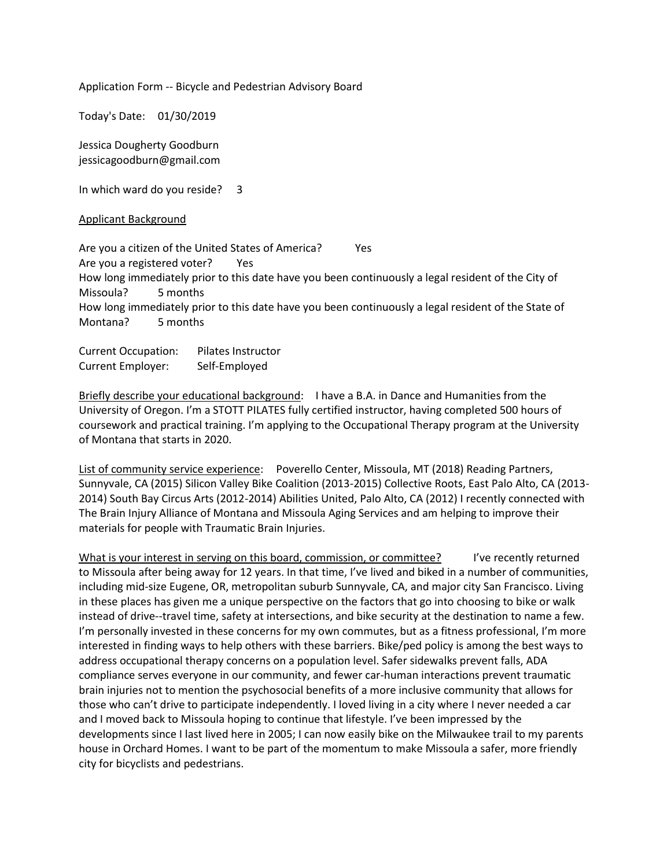Application Form -- Bicycle and Pedestrian Advisory Board

Today's Date: 01/30/2019

Jessica Dougherty Goodburn jessicagoodburn@gmail.com

In which ward do you reside? 3

## Applicant Background

Are you a citizen of the United States of America? Yes Are you a registered voter? Yes How long immediately prior to this date have you been continuously a legal resident of the City of Missoula? 5 months How long immediately prior to this date have you been continuously a legal resident of the State of Montana? 5 months

Current Occupation: Pilates Instructor Current Employer: Self-Employed

Briefly describe your educational background: I have a B.A. in Dance and Humanities from the University of Oregon. I'm a STOTT PILATES fully certified instructor, having completed 500 hours of coursework and practical training. I'm applying to the Occupational Therapy program at the University of Montana that starts in 2020.

List of community service experience: Poverello Center, Missoula, MT (2018) Reading Partners, Sunnyvale, CA (2015) Silicon Valley Bike Coalition (2013-2015) Collective Roots, East Palo Alto, CA (2013- 2014) South Bay Circus Arts (2012-2014) Abilities United, Palo Alto, CA (2012) I recently connected with The Brain Injury Alliance of Montana and Missoula Aging Services and am helping to improve their materials for people with Traumatic Brain Injuries.

What is your interest in serving on this board, commission, or committee? I've recently returned to Missoula after being away for 12 years. In that time, I've lived and biked in a number of communities, including mid-size Eugene, OR, metropolitan suburb Sunnyvale, CA, and major city San Francisco. Living in these places has given me a unique perspective on the factors that go into choosing to bike or walk instead of drive--travel time, safety at intersections, and bike security at the destination to name a few. I'm personally invested in these concerns for my own commutes, but as a fitness professional, I'm more interested in finding ways to help others with these barriers. Bike/ped policy is among the best ways to address occupational therapy concerns on a population level. Safer sidewalks prevent falls, ADA compliance serves everyone in our community, and fewer car-human interactions prevent traumatic brain injuries not to mention the psychosocial benefits of a more inclusive community that allows for those who can't drive to participate independently. I loved living in a city where I never needed a car and I moved back to Missoula hoping to continue that lifestyle. I've been impressed by the developments since I last lived here in 2005; I can now easily bike on the Milwaukee trail to my parents house in Orchard Homes. I want to be part of the momentum to make Missoula a safer, more friendly city for bicyclists and pedestrians.